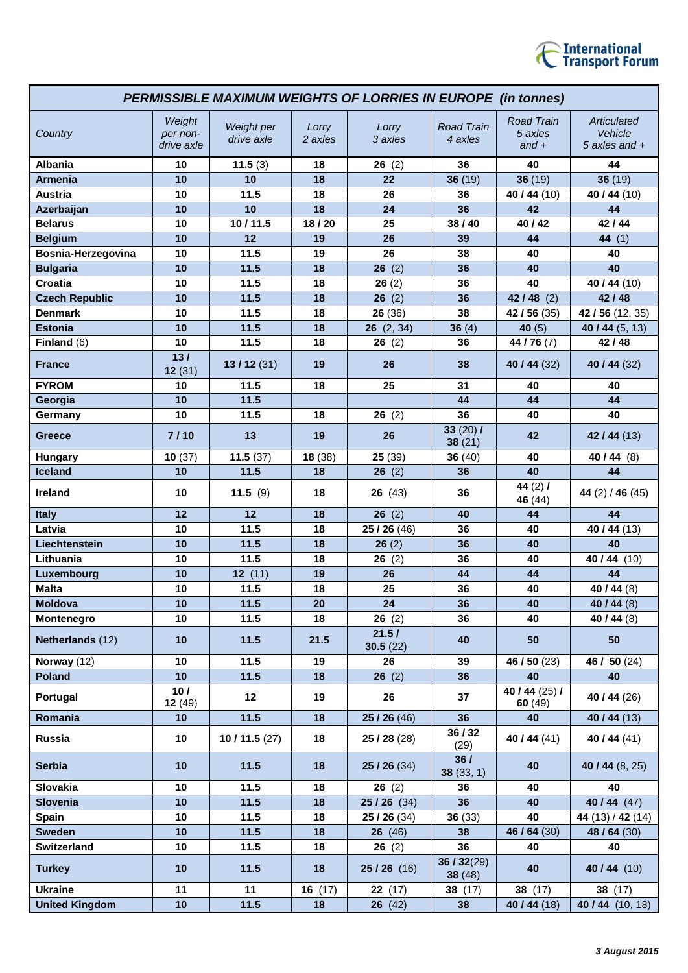

| <b>PERMISSIBLE MAXIMUM WEIGHTS OF LORRIES IN EUROPE (in tonnes)</b> |                                  |                          |                  |                   |                              |                                         |                                           |
|---------------------------------------------------------------------|----------------------------------|--------------------------|------------------|-------------------|------------------------------|-----------------------------------------|-------------------------------------------|
| Country                                                             | Weight<br>per non-<br>drive axle | Weight per<br>drive axle | Lorry<br>2 axles | Lorry<br>3 axles  | <b>Road Train</b><br>4 axles | <b>Road Train</b><br>5 axles<br>$and +$ | Articulated<br>Vehicle<br>5 axles and $+$ |
| <b>Albania</b>                                                      | 10                               | 11.5(3)                  | 18               | 26(2)             | 36                           | 40                                      | 44                                        |
| <b>Armenia</b>                                                      | 10                               | 10                       | 18               | 22                | 36(19)                       | 36(19)                                  | 36(19)                                    |
| <b>Austria</b>                                                      | 10                               | 11.5                     | 18               | 26                | 36                           | 40 / 44 (10)                            | 40 / 44 (10)                              |
| Azerbaijan                                                          | 10                               | 10                       | 18               | 24                | 36                           | 42                                      | 44                                        |
| <b>Belarus</b>                                                      | 10                               | 10/11.5                  | 18/20            | 25                | 38/40                        | 40 / 42                                 | 42 / 44                                   |
| <b>Belgium</b>                                                      | 10                               | 12                       | 19               | 26                | 39                           | 44                                      | 44 (1)                                    |
| Bosnia-Herzegovina                                                  | 10                               | 11.5                     | 19               | 26                | 38                           | 40                                      | 40                                        |
| <b>Bulgaria</b>                                                     | 10                               | 11.5                     | 18               | 26(2)             | 36                           | 40                                      | 40                                        |
| Croatia                                                             | 10                               | 11.5                     | 18               | 26(2)             | 36                           | 40                                      | 40 / 44 (10)                              |
| <b>Czech Republic</b>                                               | 10                               | 11.5                     | 18               | 26<br>(2)         | 36                           | $42/48$ (2)                             | 42 / 48                                   |
| <b>Denmark</b>                                                      | 10                               | 11.5                     | 18               | 26(36)            | 38                           | $\overline{42}$ / 56 (35)               | 42 / 56 (12, 35)                          |
| <b>Estonia</b>                                                      | 10                               | 11.5                     | 18               | 26(2, 34)         | 36 $(4)$                     | 40 $(5)$                                | 40 / 44 (5, 13)                           |
| Finland $(6)$                                                       | 10                               | 11.5                     | 18               | 26(2)             | 36                           | 44 / 76 (7)                             | 42 / 48                                   |
| <b>France</b>                                                       | 13/<br>12(31)                    | 13/12(31)                | 19               | 26                | 38                           | 40 / 44 $(32)$                          | 40 / 44 (32)                              |
| <b>FYROM</b>                                                        | 10                               | 11.5                     | 18               | 25                | 31                           | 40                                      | 40                                        |
| Georgia                                                             | 10                               | 11.5                     |                  |                   | 44                           | 44                                      | 44                                        |
| Germany                                                             | 10                               | 11.5                     | 18               | 26(2)             | 36                           | 40                                      | 40                                        |
| Greece                                                              | 7/10                             | 13                       | 19               | 26                | 33 $(20)$ /<br>38(21)        | 42                                      | 42/44 (13)                                |
| <b>Hungary</b>                                                      | 10(37)                           | 11.5(37)                 | 18(38)           | 25(39)            | 36(40)                       | 40                                      | 40 / 44 (8)                               |
| Iceland                                                             | 10                               | 11.5                     | 18               | 26(2)             | 36                           | 40                                      | 44                                        |
| Ireland                                                             | 10                               | 11.5(9)                  | 18               | 26(43)            | 36                           | 44 $(2)$ /<br>46 (44)                   | 44 $(2)$ / 46 $(45)$                      |
| <b>Italy</b>                                                        | 12                               | 12                       | 18               | 26(2)             | 40                           | 44                                      | 44                                        |
| Latvia                                                              | 10                               | 11.5                     | 18               | 25 / 26 (46)      | 36                           | 40                                      | 40 / 44 (13)                              |
| Liechtenstein                                                       | 10                               | 11.5                     | 18               | 26(2)             | 36                           | 40                                      | 40                                        |
| Lithuania                                                           | 10                               | 11.5                     | 18               | 26(2)             | 36                           | 40                                      | 40 / 44 (10)                              |
| Luxembourg                                                          | 10                               | 12(11)                   | 19               | 26                | 44                           | 44                                      | 44                                        |
| <b>Malta</b>                                                        | 10                               | 11.5                     | 18               | 25                | 36                           | 40                                      | 40 / 44 $(8)$                             |
| <b>Moldova</b>                                                      | 10                               | 11.5                     | 20               | 24                | 36                           | 40                                      | 40 / 44 (8)                               |
| Montenegro                                                          | 10                               | 11.5                     | 18               | 26(2)             | 36                           | 40                                      | 40 / 44 $(8)$                             |
| Netherlands (12)                                                    | 10                               | 11.5                     | 21.5             | 21.5/<br>30.5(22) | 40                           | 50                                      | 50                                        |
| Norway (12)                                                         | 10                               | 11.5                     | 19               | 26                | 39                           | 46 / 50 (23)                            | 46 / 50 (24)                              |
| <b>Poland</b>                                                       | 10                               | 11.5                     | 18               | 26(2)             | 36                           | 40                                      | 40                                        |
| Portugal                                                            | 10/<br>12(49)                    | 12                       | 19               | 26                | 37                           | 40 / 44 $(25)$ /<br>60(49)              | 40 / 44 (26)                              |
| Romania                                                             | 10                               | 11.5                     | 18               | 25/26(46)         | 36                           | 40                                      | 40/44(13)                                 |
| Russia                                                              | 10                               | 10 / 11.5 $(27)$         | 18               | 25/28(28)         | 36 / 32<br>(29)              | 40 / 44 (41)                            | 40 / 44 $(41)$                            |
| <b>Serbia</b>                                                       | 10                               | 11.5                     | 18               | 25/26(34)         | 36/<br>38(33, 1)             | 40                                      | 40 / 44 $(8, 25)$                         |
| Slovakia                                                            | 10                               | 11.5                     | 18               | 26(2)             | 36                           | 40                                      | 40                                        |
| Slovenia                                                            | 10                               | 11.5                     | 18               | $25/26$ (34)      | 36                           | 40                                      | 40/44 $(47)$                              |
| <b>Spain</b>                                                        | 10                               | 11.5                     | 18               | 25/26 (34)        | 36(33)                       | 40                                      | 44 (13) / 42 (14)                         |
| <b>Sweden</b>                                                       | 10                               | 11.5                     | 18               | 26(46)            | 38                           | 46 / 64 (30)                            | 48 / 64 (30)                              |
| <b>Switzerland</b>                                                  | 10                               | 11.5                     | 18               | 26(2)             | 36                           | 40                                      | 40                                        |
| <b>Turkey</b>                                                       | 10                               | 11.5                     | 18               | $25/26$ (16)      | 36 / 32(29)<br>38(48)        | 40                                      | 40 / 44 (10)                              |
| <b>Ukraine</b>                                                      | 11                               | 11                       | 16(17)           | 22(17)            | 38 (17)                      | 38 (17)                                 | 38 (17)                                   |
| <b>United Kingdom</b>                                               | 10                               | 11.5                     | 18               | 26(42)            | 38                           | 40 / 44 (18)                            | 40 / 44 (10, 18)                          |